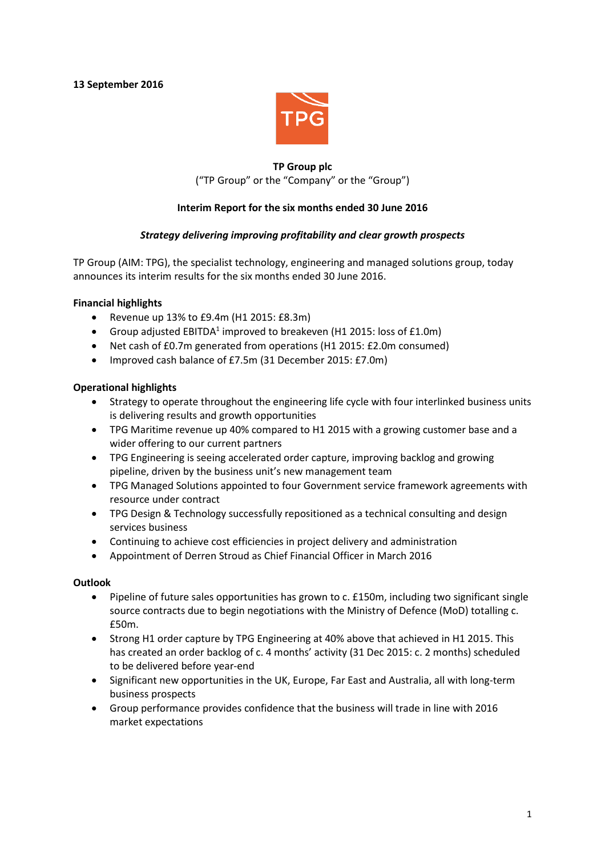**13 September 2016**



# **TP Group plc** ("TP Group" or the "Company" or the "Group")

# **Interim Report for the six months ended 30 June 2016**

# *Strategy delivering improving profitability and clear growth prospects*

TP Group (AIM: TPG), the specialist technology, engineering and managed solutions group, today announces its interim results for the six months ended 30 June 2016.

## **Financial highlights**

- Revenue up 13% to £9.4m (H1 2015: £8.3m)
- Group adjusted  $EBITDA<sup>1</sup>$  improved to breakeven (H1 2015: loss of £1.0m)
- Net cash of £0.7m generated from operations (H1 2015: £2.0m consumed)
- Improved cash balance of £7.5m (31 December 2015: £7.0m)

# **Operational highlights**

- Strategy to operate throughout the engineering life cycle with four interlinked business units is delivering results and growth opportunities
- TPG Maritime revenue up 40% compared to H1 2015 with a growing customer base and a wider offering to our current partners
- TPG Engineering is seeing accelerated order capture, improving backlog and growing pipeline, driven by the business unit's new management team
- TPG Managed Solutions appointed to four Government service framework agreements with resource under contract
- TPG Design & Technology successfully repositioned as a technical consulting and design services business
- Continuing to achieve cost efficiencies in project delivery and administration
- Appointment of Derren Stroud as Chief Financial Officer in March 2016

## **Outlook**

- Pipeline of future sales opportunities has grown to c. £150m, including two significant single source contracts due to begin negotiations with the Ministry of Defence (MoD) totalling c. £50m.
- Strong H1 order capture by TPG Engineering at 40% above that achieved in H1 2015. This has created an order backlog of c. 4 months' activity (31 Dec 2015: c. 2 months) scheduled to be delivered before year-end
- Significant new opportunities in the UK, Europe, Far East and Australia, all with long-term business prospects
- Group performance provides confidence that the business will trade in line with 2016 market expectations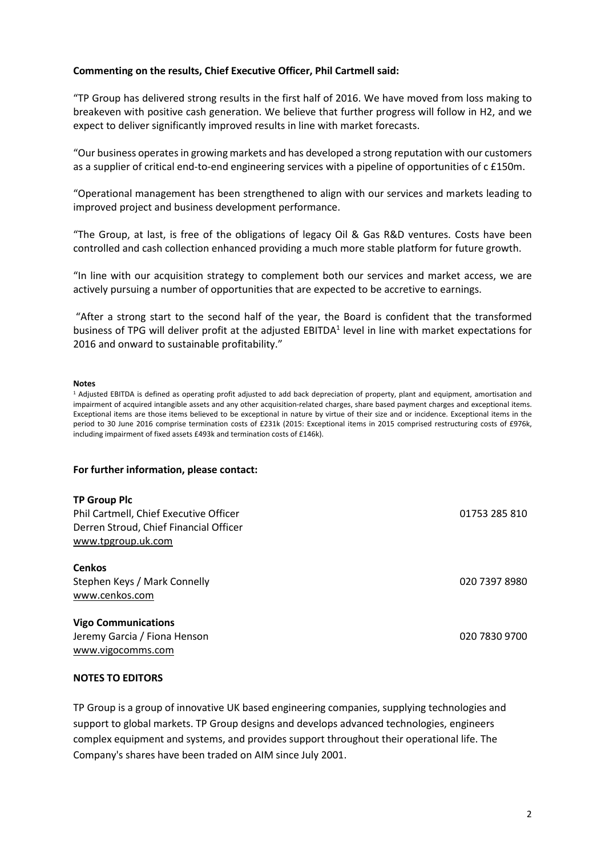## **Commenting on the results, Chief Executive Officer, Phil Cartmell said:**

"TP Group has delivered strong results in the first half of 2016. We have moved from loss making to breakeven with positive cash generation. We believe that further progress will follow in H2, and we expect to deliver significantly improved results in line with market forecasts.

"Our business operatesin growing markets and has developed a strong reputation with our customers as a supplier of critical end-to-end engineering services with a pipeline of opportunities of c £150m.

"Operational management has been strengthened to align with our services and markets leading to improved project and business development performance.

"The Group, at last, is free of the obligations of legacy Oil & Gas R&D ventures. Costs have been controlled and cash collection enhanced providing a much more stable platform for future growth.

"In line with our acquisition strategy to complement both our services and market access, we are actively pursuing a number of opportunities that are expected to be accretive to earnings.

"After a strong start to the second half of the year, the Board is confident that the transformed business of TPG will deliver profit at the adjusted EBITDA<sup>1</sup> level in line with market expectations for 2016 and onward to sustainable profitability."

#### **Notes**

<sup>1</sup> Adjusted EBITDA is defined as operating profit adjusted to add back depreciation of property, plant and equipment, amortisation and impairment of acquired intangible assets and any other acquisition-related charges, share based payment charges and exceptional items. Exceptional items are those items believed to be exceptional in nature by virtue of their size and or incidence. Exceptional items in the period to 30 June 2016 comprise termination costs of £231k (2015: Exceptional items in 2015 comprised restructuring costs of £976k, including impairment of fixed assets £493k and termination costs of £146k).

#### **For further information, please contact:**

#### **TP Group Plc**

Phil Cartmell, Chief Executive Officer 01753 285 810 Derren Stroud, Chief Financial Officer [www.tpgroup.uk.com](http://www.tpgroup.uk.com/)

**Cenkos** Stephen Keys / Mark Connelly [www.cenkos.com](http://www.cenkos.com/)

#### **Vigo Communications**

Jeremy Garcia / Fiona Henson 020 7830 9700 [www.vigocomms.com](http://www.vigocomms.com/)

# **NOTES TO EDITORS**

TP Group is a group of innovative UK based engineering companies, supplying technologies and support to global markets. TP Group designs and develops advanced technologies, engineers complex equipment and systems, and provides support throughout their operational life. The Company's shares have been traded on AIM since July 2001.

020 7397 8980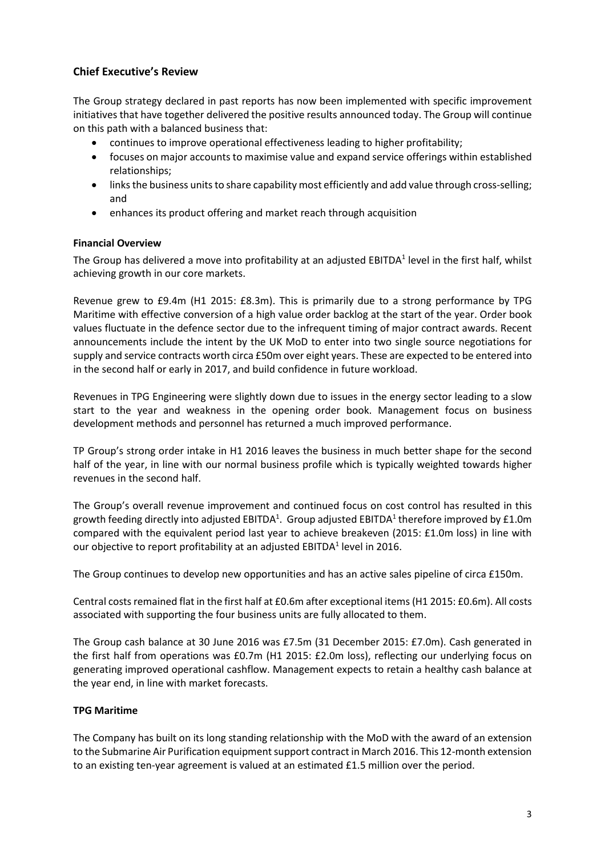# **Chief Executive's Review**

The Group strategy declared in past reports has now been implemented with specific improvement initiatives that have together delivered the positive results announced today. The Group will continue on this path with a balanced business that:

- continues to improve operational effectiveness leading to higher profitability;
- focuses on major accounts to maximise value and expand service offerings within established relationships;
- links the business units to share capability most efficiently and add value through cross-selling; and
- enhances its product offering and market reach through acquisition

# **Financial Overview**

The Group has delivered a move into profitability at an adjusted EBITDA $^{\rm 1}$  level in the first half, whilst achieving growth in our core markets.

Revenue grew to £9.4m (H1 2015: £8.3m). This is primarily due to a strong performance by TPG Maritime with effective conversion of a high value order backlog at the start of the year. Order book values fluctuate in the defence sector due to the infrequent timing of major contract awards. Recent announcements include the intent by the UK MoD to enter into two single source negotiations for supply and service contracts worth circa £50m over eight years. These are expected to be entered into in the second half or early in 2017, and build confidence in future workload.

Revenues in TPG Engineering were slightly down due to issues in the energy sector leading to a slow start to the year and weakness in the opening order book. Management focus on business development methods and personnel has returned a much improved performance.

TP Group's strong order intake in H1 2016 leaves the business in much better shape for the second half of the year, in line with our normal business profile which is typically weighted towards higher revenues in the second half.

The Group's overall revenue improvement and continued focus on cost control has resulted in this growth feeding directly into adjusted EBITDA $^1$ . Group adjusted EBITDA $^1$  therefore improved by £1.0m compared with the equivalent period last year to achieve breakeven (2015: £1.0m loss) in line with our objective to report profitability at an adjusted EBITDA $^1$  level in 2016.

The Group continues to develop new opportunities and has an active sales pipeline of circa £150m.

Central costs remained flat in the first half at £0.6m after exceptional items (H1 2015: £0.6m). All costs associated with supporting the four business units are fully allocated to them.

The Group cash balance at 30 June 2016 was £7.5m (31 December 2015: £7.0m). Cash generated in the first half from operations was £0.7m (H1 2015: £2.0m loss), reflecting our underlying focus on generating improved operational cashflow. Management expects to retain a healthy cash balance at the year end, in line with market forecasts.

## **TPG Maritime**

The Company has built on its long standing relationship with the MoD with the award of an extension to the Submarine Air Purification equipment support contract in March 2016. This 12-month extension to an existing ten-year agreement is valued at an estimated £1.5 million over the period.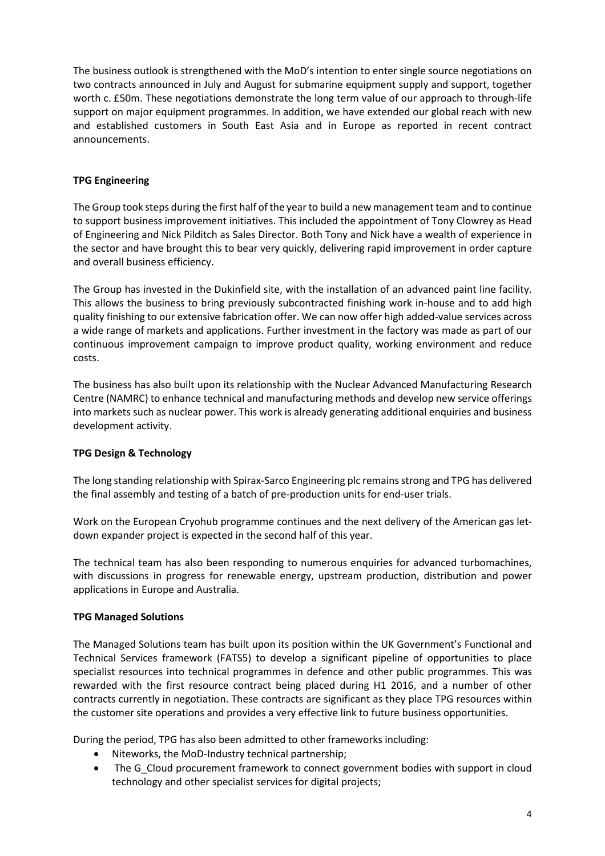The business outlook is strengthened with the MoD's intention to enter single source negotiations on two contracts announced in July and August for submarine equipment supply and support, together worth c. £50m. These negotiations demonstrate the long term value of our approach to through-life support on major equipment programmes. In addition, we have extended our global reach with new and established customers in South East Asia and in Europe as reported in recent contract announcements.

# **TPG Engineering**

The Group took steps during the first half of the year to build a new management team and to continue to support business improvement initiatives. This included the appointment of Tony Clowrey as Head of Engineering and Nick Pilditch as Sales Director. Both Tony and Nick have a wealth of experience in the sector and have brought this to bear very quickly, delivering rapid improvement in order capture and overall business efficiency.

The Group has invested in the Dukinfield site, with the installation of an advanced paint line facility. This allows the business to bring previously subcontracted finishing work in-house and to add high quality finishing to our extensive fabrication offer. We can now offer high added-value services across a wide range of markets and applications. Further investment in the factory was made as part of our continuous improvement campaign to improve product quality, working environment and reduce costs.

The business has also built upon its relationship with the Nuclear Advanced Manufacturing Research Centre (NAMRC) to enhance technical and manufacturing methods and develop new service offerings into markets such as nuclear power. This work is already generating additional enquiries and business development activity.

# **TPG Design & Technology**

The long standing relationship with Spirax-Sarco Engineering plc remainsstrong and TPG has delivered the final assembly and testing of a batch of pre-production units for end-user trials.

Work on the European Cryohub programme continues and the next delivery of the American gas letdown expander project is expected in the second half of this year.

The technical team has also been responding to numerous enquiries for advanced turbomachines, with discussions in progress for renewable energy, upstream production, distribution and power applications in Europe and Australia.

## **TPG Managed Solutions**

The Managed Solutions team has built upon its position within the UK Government's Functional and Technical Services framework (FATS5) to develop a significant pipeline of opportunities to place specialist resources into technical programmes in defence and other public programmes. This was rewarded with the first resource contract being placed during H1 2016, and a number of other contracts currently in negotiation. These contracts are significant as they place TPG resources within the customer site operations and provides a very effective link to future business opportunities.

During the period, TPG has also been admitted to other frameworks including:

- Niteworks, the MoD-Industry technical partnership;
- The G\_Cloud procurement framework to connect government bodies with support in cloud technology and other specialist services for digital projects;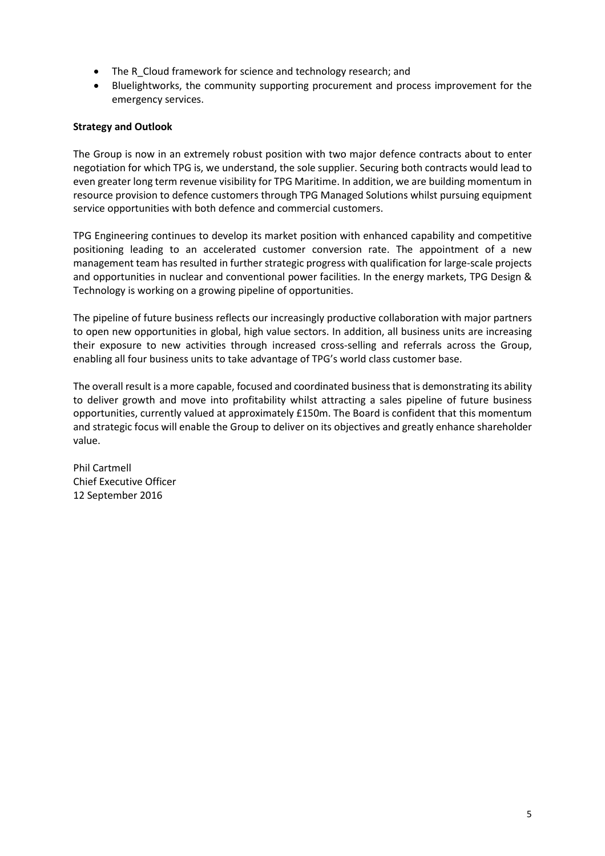- The R\_Cloud framework for science and technology research; and
- Bluelightworks, the community supporting procurement and process improvement for the emergency services.

# **Strategy and Outlook**

The Group is now in an extremely robust position with two major defence contracts about to enter negotiation for which TPG is, we understand, the sole supplier. Securing both contracts would lead to even greater long term revenue visibility for TPG Maritime. In addition, we are building momentum in resource provision to defence customers through TPG Managed Solutions whilst pursuing equipment service opportunities with both defence and commercial customers.

TPG Engineering continues to develop its market position with enhanced capability and competitive positioning leading to an accelerated customer conversion rate. The appointment of a new management team has resulted in further strategic progress with qualification for large-scale projects and opportunities in nuclear and conventional power facilities. In the energy markets, TPG Design & Technology is working on a growing pipeline of opportunities.

The pipeline of future business reflects our increasingly productive collaboration with major partners to open new opportunities in global, high value sectors. In addition, all business units are increasing their exposure to new activities through increased cross-selling and referrals across the Group, enabling all four business units to take advantage of TPG's world class customer base.

The overall result is a more capable, focused and coordinated businessthat is demonstrating its ability to deliver growth and move into profitability whilst attracting a sales pipeline of future business opportunities, currently valued at approximately £150m. The Board is confident that this momentum and strategic focus will enable the Group to deliver on its objectives and greatly enhance shareholder value.

Phil Cartmell Chief Executive Officer 12 September 2016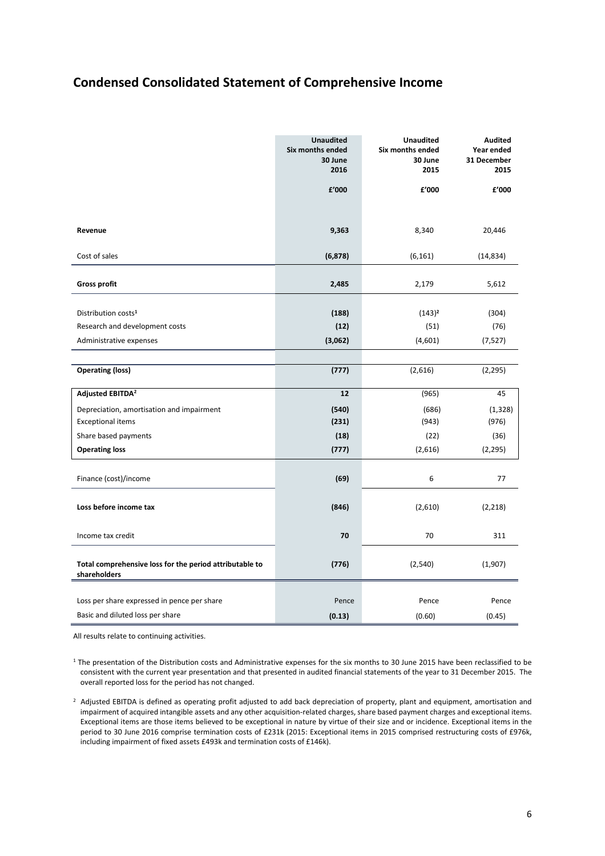# **Condensed Consolidated Statement of Comprehensive Income**

|                                                                         | <b>Unaudited</b><br>Six months ended<br>30 June<br>2016 | <b>Unaudited</b><br>Six months ended<br>30 June<br>2015 | <b>Audited</b><br>Year ended<br>31 December<br>2015 |
|-------------------------------------------------------------------------|---------------------------------------------------------|---------------------------------------------------------|-----------------------------------------------------|
|                                                                         | £'000                                                   | £'000                                                   | £'000                                               |
|                                                                         |                                                         |                                                         |                                                     |
| Revenue                                                                 | 9,363                                                   | 8,340                                                   | 20,446                                              |
| Cost of sales                                                           | (6, 878)                                                | (6, 161)                                                | (14, 834)                                           |
|                                                                         |                                                         |                                                         |                                                     |
| <b>Gross profit</b>                                                     | 2,485                                                   | 2,179                                                   | 5,612                                               |
| Distribution costs <sup>1</sup>                                         | (188)                                                   | $(143)^2$                                               | (304)                                               |
| Research and development costs                                          | (12)                                                    | (51)                                                    | (76)                                                |
| Administrative expenses                                                 | (3,062)                                                 | (4,601)                                                 | (7,527)                                             |
|                                                                         |                                                         |                                                         |                                                     |
| <b>Operating (loss)</b>                                                 | (777)                                                   | (2,616)                                                 | (2, 295)                                            |
| Adjusted EBITDA <sup>2</sup>                                            | 12                                                      | (965)                                                   | 45                                                  |
| Depreciation, amortisation and impairment                               | (540)                                                   | (686)                                                   | (1, 328)                                            |
| <b>Exceptional items</b>                                                | (231)                                                   | (943)                                                   | (976)                                               |
| Share based payments                                                    | (18)                                                    | (22)                                                    | (36)                                                |
| <b>Operating loss</b>                                                   | (777)                                                   | (2,616)                                                 | (2, 295)                                            |
| Finance (cost)/income                                                   | (69)                                                    | 6                                                       | 77                                                  |
|                                                                         |                                                         |                                                         |                                                     |
| Loss before income tax                                                  | (846)                                                   | (2,610)                                                 | (2,218)                                             |
| Income tax credit                                                       | 70                                                      | 70                                                      | 311                                                 |
| Total comprehensive loss for the period attributable to<br>shareholders | (776)                                                   | (2, 540)                                                | (1,907)                                             |
|                                                                         |                                                         |                                                         |                                                     |
| Loss per share expressed in pence per share                             | Pence                                                   | Pence                                                   | Pence                                               |
| Basic and diluted loss per share                                        | (0.13)                                                  | (0.60)                                                  | (0.45)                                              |

All results relate to continuing activities.

 $1$  The presentation of the Distribution costs and Administrative expenses for the six months to 30 June 2015 have been reclassified to be consistent with the current year presentation and that presented in audited financial statements of the year to 31 December 2015. The overall reported loss for the period has not changed.

 $2$  Adjusted EBITDA is defined as operating profit adjusted to add back depreciation of property, plant and equipment, amortisation and impairment of acquired intangible assets and any other acquisition-related charges, share based payment charges and exceptional items. Exceptional items are those items believed to be exceptional in nature by virtue of their size and or incidence. Exceptional items in the period to 30 June 2016 comprise termination costs of £231k (2015: Exceptional items in 2015 comprised restructuring costs of £976k, including impairment of fixed assets £493k and termination costs of £146k).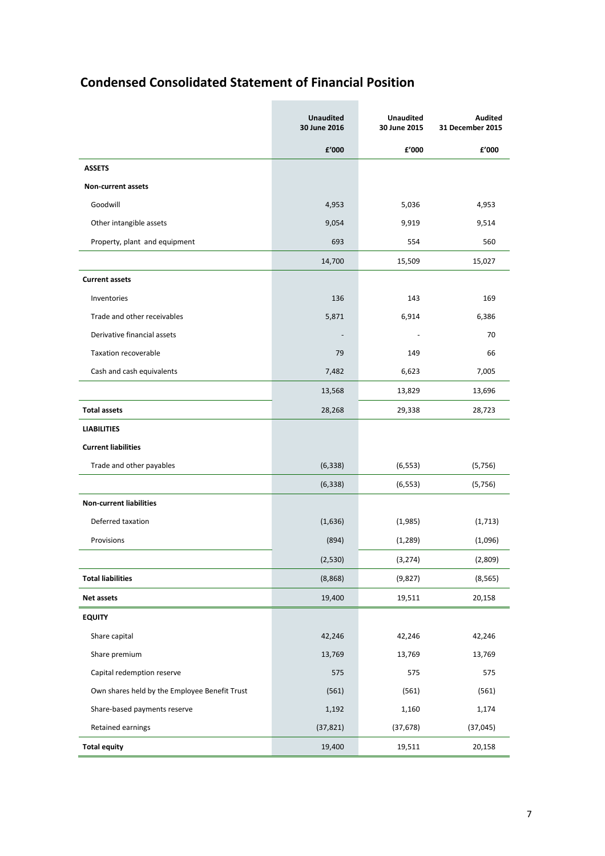# **Condensed Consolidated Statement of Financial Position**

|                                               | <b>Unaudited</b><br>30 June 2016 | <b>Unaudited</b><br>30 June 2015 | <b>Audited</b><br>31 December 2015 |
|-----------------------------------------------|----------------------------------|----------------------------------|------------------------------------|
|                                               | £'000                            | £'000                            | £'000                              |
| <b>ASSETS</b>                                 |                                  |                                  |                                    |
| Non-current assets                            |                                  |                                  |                                    |
| Goodwill                                      | 4,953                            | 5,036                            | 4,953                              |
| Other intangible assets                       | 9,054                            | 9,919                            | 9,514                              |
| Property, plant and equipment                 | 693                              | 554                              | 560                                |
|                                               | 14,700                           | 15,509                           | 15,027                             |
| <b>Current assets</b>                         |                                  |                                  |                                    |
| Inventories                                   | 136                              | 143                              | 169                                |
| Trade and other receivables                   | 5,871                            | 6,914                            | 6,386                              |
| Derivative financial assets                   | $\overline{\phantom{a}}$         |                                  | 70                                 |
| <b>Taxation recoverable</b>                   | 79                               | 149                              | 66                                 |
| Cash and cash equivalents                     | 7,482                            | 6,623                            | 7,005                              |
|                                               | 13,568                           | 13,829                           | 13,696                             |
| <b>Total assets</b>                           | 28,268                           | 29,338                           | 28,723                             |
| <b>LIABILITIES</b>                            |                                  |                                  |                                    |
| <b>Current liabilities</b>                    |                                  |                                  |                                    |
| Trade and other payables                      | (6, 338)                         | (6, 553)                         | (5,756)                            |
|                                               | (6, 338)                         | (6, 553)                         | (5,756)                            |
| <b>Non-current liabilities</b>                |                                  |                                  |                                    |
| Deferred taxation                             | (1,636)                          | (1,985)                          | (1,713)                            |
| Provisions                                    | (894)                            | (1, 289)                         | (1,096)                            |
|                                               | (2,530)                          | (3, 274)                         | (2,809)                            |
| <b>Total liabilities</b>                      | (8,868)                          | (9,827)                          | (8, 565)                           |
| Net assets                                    | 19,400                           | 19,511                           | 20,158                             |
| <b>EQUITY</b>                                 |                                  |                                  |                                    |
| Share capital                                 | 42,246                           | 42,246                           | 42,246                             |
| Share premium                                 | 13,769                           | 13,769                           | 13,769                             |
| Capital redemption reserve                    | 575                              | 575                              | 575                                |
| Own shares held by the Employee Benefit Trust | (561)                            | (561)                            | (561)                              |
| Share-based payments reserve                  | 1,192                            | 1,160                            | 1,174                              |
| Retained earnings                             | (37, 821)                        | (37, 678)                        | (37, 045)                          |
| <b>Total equity</b>                           | 19,400                           | 19,511                           | 20,158                             |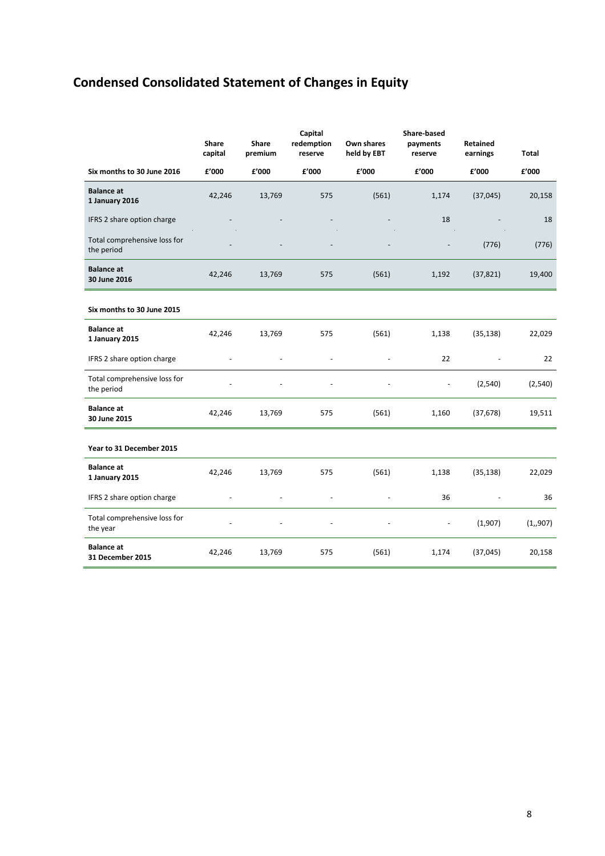# **Condensed Consolidated Statement of Changes in Equity**

|                                            | Share<br>capital | <b>Share</b><br>premium | Capital<br>redemption<br>reserve | Own shares<br>held by EBT | Share-based<br>payments<br>reserve | <b>Retained</b><br>earnings | <b>Total</b> |
|--------------------------------------------|------------------|-------------------------|----------------------------------|---------------------------|------------------------------------|-----------------------------|--------------|
| Six months to 30 June 2016                 | £'000            | £'000                   | f'000                            | £'000                     | £'000                              | £'000                       | f'000        |
| <b>Balance</b> at<br>1 January 2016        | 42,246           | 13,769                  | 575                              | (561)                     | 1,174                              | (37, 045)                   | 20,158       |
| IFRS 2 share option charge                 |                  |                         |                                  |                           | 18                                 |                             | 18           |
| Total comprehensive loss for<br>the period |                  |                         |                                  |                           |                                    | (776)                       | (776)        |
| <b>Balance at</b><br>30 June 2016          | 42,246           | 13,769                  | 575                              | (561)                     | 1,192                              | (37, 821)                   | 19,400       |
| Six months to 30 June 2015                 |                  |                         |                                  |                           |                                    |                             |              |
| <b>Balance at</b><br>1 January 2015        | 42,246           | 13,769                  | 575                              | (561)                     | 1,138                              | (35, 138)                   | 22,029       |
| IFRS 2 share option charge                 |                  |                         |                                  |                           | 22                                 |                             | 22           |
| Total comprehensive loss for<br>the period |                  |                         |                                  |                           |                                    | (2,540)                     | (2,540)      |
| <b>Balance at</b><br>30 June 2015          | 42,246           | 13,769                  | 575                              | (561)                     | 1,160                              | (37, 678)                   | 19,511       |
| Year to 31 December 2015                   |                  |                         |                                  |                           |                                    |                             |              |
| <b>Balance at</b><br>1 January 2015        | 42,246           | 13,769                  | 575                              | (561)                     | 1,138                              | (35, 138)                   | 22,029       |
| IFRS 2 share option charge                 | ÷,               | $\overline{a}$          | $\overline{\phantom{a}}$         |                           | 36                                 |                             | 36           |
| Total comprehensive loss for<br>the year   |                  |                         |                                  |                           | $\blacksquare$                     | (1,907)                     | (1,907)      |
| <b>Balance at</b><br>31 December 2015      | 42.246           | 13,769                  | 575                              | (561)                     | 1,174                              | (37, 045)                   | 20,158       |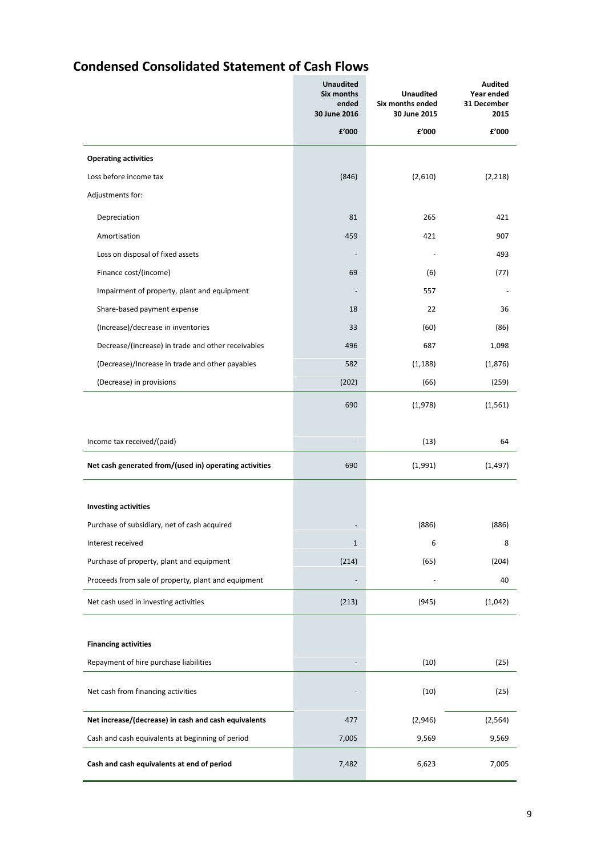# **Condensed Consolidated Statement of Cash Flows**

|                                                        | <b>Unaudited</b><br>Six months<br>ended<br>30 June 2016 | <b>Unaudited</b><br>Six months ended<br>30 June 2015 | Audited<br>Year ended<br>31 December<br>2015 |
|--------------------------------------------------------|---------------------------------------------------------|------------------------------------------------------|----------------------------------------------|
|                                                        | f'000                                                   | £'000                                                | £'000                                        |
| <b>Operating activities</b>                            |                                                         |                                                      |                                              |
| Loss before income tax                                 | (846)                                                   | (2,610)                                              | (2, 218)                                     |
| Adjustments for:                                       |                                                         |                                                      |                                              |
| Depreciation                                           | 81                                                      | 265                                                  | 421                                          |
| Amortisation                                           | 459                                                     | 421                                                  | 907                                          |
| Loss on disposal of fixed assets                       |                                                         |                                                      | 493                                          |
| Finance cost/(income)                                  | 69                                                      | (6)                                                  | (77)                                         |
| Impairment of property, plant and equipment            |                                                         | 557                                                  |                                              |
| Share-based payment expense                            | 18                                                      | 22                                                   | 36                                           |
| (Increase)/decrease in inventories                     | 33                                                      | (60)                                                 | (86)                                         |
| Decrease/(increase) in trade and other receivables     | 496                                                     | 687                                                  | 1,098                                        |
| (Decrease)/Increase in trade and other payables        | 582                                                     | (1, 188)                                             | (1,876)                                      |
| (Decrease) in provisions                               | (202)                                                   | (66)                                                 | (259)                                        |
|                                                        | 690                                                     | (1,978)                                              | (1, 561)                                     |
| Income tax received/(paid)                             |                                                         | (13)                                                 | 64                                           |
| Net cash generated from/(used in) operating activities | 690                                                     | (1,991)                                              | (1, 497)                                     |
| <b>Investing activities</b>                            |                                                         |                                                      |                                              |
| Purchase of subsidiary, net of cash acquired           |                                                         | (886)                                                | (886)                                        |
| Interest received                                      | 1                                                       | 6                                                    | 8                                            |
| Purchase of property, plant and equipment              | (214)                                                   | (65)                                                 | (204)                                        |
| Proceeds from sale of property, plant and equipment    |                                                         |                                                      | 40                                           |
| Net cash used in investing activities                  | (213)                                                   | (945)                                                | (1,042)                                      |
|                                                        |                                                         |                                                      |                                              |
| <b>Financing activities</b>                            |                                                         |                                                      |                                              |
| Repayment of hire purchase liabilities                 |                                                         | (10)                                                 | (25)                                         |
| Net cash from financing activities                     |                                                         | (10)                                                 | (25)                                         |
| Net increase/(decrease) in cash and cash equivalents   | 477                                                     | (2,946)                                              | (2, 564)                                     |
| Cash and cash equivalents at beginning of period       | 7,005                                                   | 9,569                                                | 9,569                                        |
| Cash and cash equivalents at end of period             | 7,482                                                   | 6,623                                                | 7,005                                        |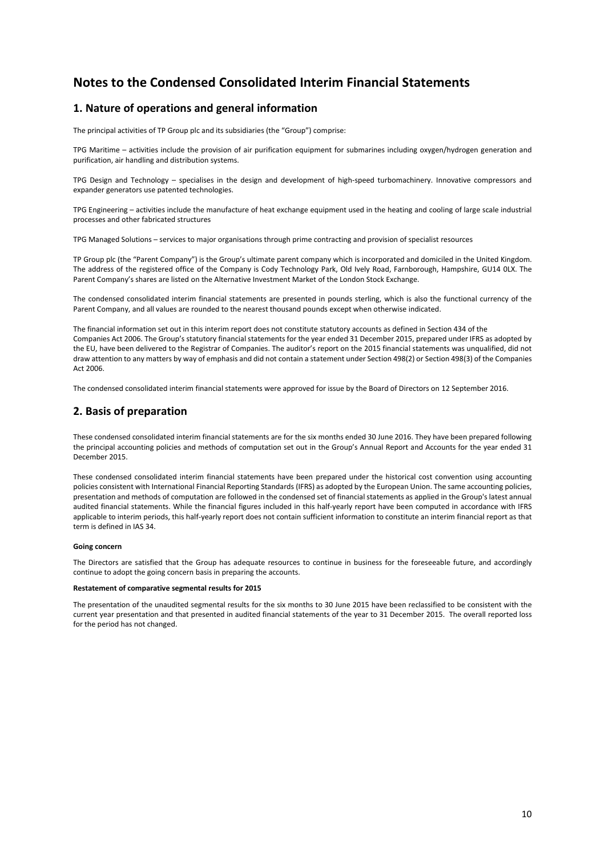# **Notes to the Condensed Consolidated Interim Financial Statements**

## **1. Nature of operations and general information**

The principal activities of TP Group plc and its subsidiaries (the "Group") comprise:

TPG Maritime – activities include the provision of air purification equipment for submarines including oxygen/hydrogen generation and purification, air handling and distribution systems.

TPG Design and Technology – specialises in the design and development of high-speed turbomachinery. Innovative compressors and expander generators use patented technologies.

TPG Engineering – activities include the manufacture of heat exchange equipment used in the heating and cooling of large scale industrial processes and other fabricated structures

TPG Managed Solutions – services to major organisations through prime contracting and provision of specialist resources

TP Group plc (the "Parent Company") is the Group's ultimate parent company which is incorporated and domiciled in the United Kingdom. The address of the registered office of the Company is Cody Technology Park, Old Ively Road, Farnborough, Hampshire, GU14 0LX. The Parent Company's shares are listed on the Alternative Investment Market of the London Stock Exchange.

The condensed consolidated interim financial statements are presented in pounds sterling, which is also the functional currency of the Parent Company, and all values are rounded to the nearest thousand pounds except when otherwise indicated.

The financial information set out in this interim report does not constitute statutory accounts as defined in Section 434 of the Companies Act 2006. The Group's statutory financial statements for the year ended 31 December 2015, prepared under IFRS as adopted by the EU, have been delivered to the Registrar of Companies. The auditor's report on the 2015 financial statements was unqualified, did not draw attention to any matters by way of emphasis and did not contain a statement under Section 498(2) or Section 498(3) of the Companies Act 2006.

The condensed consolidated interim financial statements were approved for issue by the Board of Directors on 12 September 2016.

## **2. Basis of preparation**

These condensed consolidated interim financial statements are for the six months ended 30 June 2016. They have been prepared following the principal accounting policies and methods of computation set out in the Group's Annual Report and Accounts for the year ended 31 December 2015.

These condensed consolidated interim financial statements have been prepared under the historical cost convention using accounting policies consistent with International Financial Reporting Standards (IFRS) as adopted by the European Union. The same accounting policies, presentation and methods of computation are followed in the condensed set of financial statements as applied in the Group's latest annual audited financial statements. While the financial figures included in this half-yearly report have been computed in accordance with IFRS applicable to interim periods, this half-yearly report does not contain sufficient information to constitute an interim financial report as that term is defined in IAS 34.

#### **Going concern**

The Directors are satisfied that the Group has adequate resources to continue in business for the foreseeable future, and accordingly continue to adopt the going concern basis in preparing the accounts.

#### **Restatement of comparative segmental results for 2015**

The presentation of the unaudited segmental results for the six months to 30 June 2015 have been reclassified to be consistent with the current year presentation and that presented in audited financial statements of the year to 31 December 2015. The overall reported loss for the period has not changed.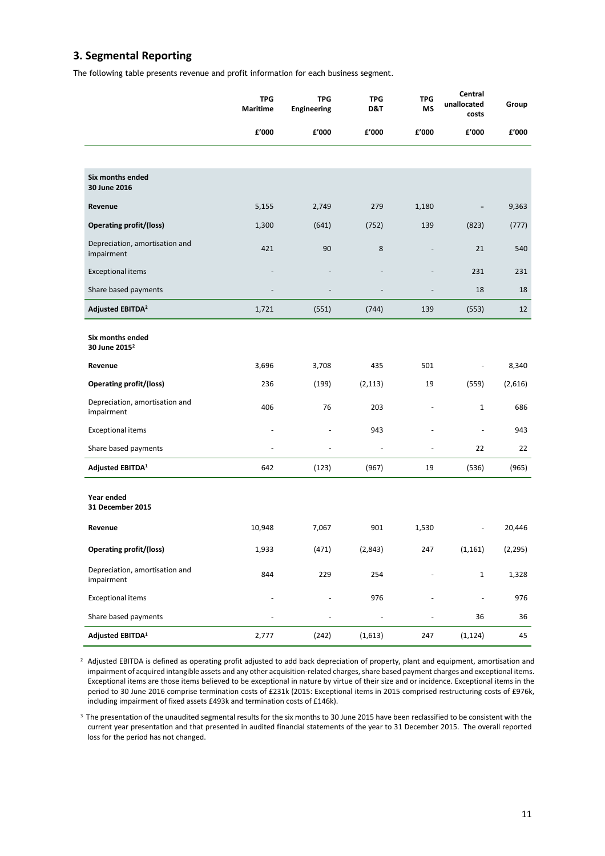# **3. Segmental Reporting**

The following table presents revenue and profit information for each business segment.

|                                               | <b>TPG</b><br>Maritime | <b>TPG</b><br><b>Engineering</b> | <b>TPG</b><br>D&T | <b>TPG</b><br>MS | Central<br>unallocated<br>costs | Group    |
|-----------------------------------------------|------------------------|----------------------------------|-------------------|------------------|---------------------------------|----------|
|                                               | £'000                  | £'000                            | £'000             | £'000            | £'000                           | f'000    |
|                                               |                        |                                  |                   |                  |                                 |          |
| Six months ended<br>30 June 2016              |                        |                                  |                   |                  |                                 |          |
| Revenue                                       | 5,155                  | 2,749                            | 279               | 1,180            |                                 | 9,363    |
| <b>Operating profit/(loss)</b>                | 1,300                  | (641)                            | (752)             | 139              | (823)                           | (777)    |
| Depreciation, amortisation and<br>impairment  | 421                    | 90                               | 8                 |                  | 21                              | 540      |
| <b>Exceptional items</b>                      |                        |                                  |                   |                  | 231                             | 231      |
| Share based payments                          |                        |                                  |                   |                  | 18                              | 18       |
| <b>Adjusted EBITDA<sup>2</sup></b>            | 1,721                  | (551)                            | (744)             | 139              | (553)                           | 12       |
| Six months ended<br>30 June 2015 <sup>2</sup> |                        |                                  |                   |                  |                                 |          |
| Revenue                                       | 3,696                  | 3,708                            | 435               | 501              |                                 | 8,340    |
| <b>Operating profit/(loss)</b>                | 236                    | (199)                            | (2, 113)          | 19               | (559)                           | (2,616)  |
| Depreciation, amortisation and<br>impairment  | 406                    | 76                               | 203               |                  | $\mathbf{1}$                    | 686      |
| <b>Exceptional items</b>                      |                        |                                  | 943               |                  | $\overline{\phantom{a}}$        | 943      |
| Share based payments                          | $\overline{a}$         | $\overline{\phantom{a}}$         | $\sim$            | $\overline{a}$   | 22                              | 22       |
| Adjusted EBITDA <sup>1</sup>                  | 642                    | (123)                            | (967)             | 19               | (536)                           | (965)    |
| Year ended<br>31 December 2015                |                        |                                  |                   |                  |                                 |          |
| Revenue                                       | 10,948                 | 7,067                            | 901               | 1,530            |                                 | 20,446   |
| <b>Operating profit/(loss)</b>                | 1,933                  | (471)                            | (2,843)           | 247              | (1, 161)                        | (2, 295) |
| Depreciation, amortisation and<br>impairment  | 844                    | 229                              | 254               |                  | $\mathbf 1$                     | 1,328    |
| <b>Exceptional items</b>                      |                        |                                  | 976               |                  | $\blacksquare$                  | 976      |
| Share based payments                          |                        |                                  | $\blacksquare$    |                  | 36                              | 36       |
| Adjusted EBITDA <sup>1</sup>                  | 2,777                  | (242)                            | (1,613)           | 247              | (1, 124)                        | 45       |

 $2$  Adjusted EBITDA is defined as operating profit adjusted to add back depreciation of property, plant and equipment, amortisation and impairment of acquired intangible assets and any other acquisition-related charges, share based payment charges and exceptional items. Exceptional items are those items believed to be exceptional in nature by virtue of their size and or incidence. Exceptional items in the period to 30 June 2016 comprise termination costs of £231k (2015: Exceptional items in 2015 comprised restructuring costs of £976k, including impairment of fixed assets £493k and termination costs of £146k).

<sup>3</sup> The presentation of the unaudited segmental results for the six months to 30 June 2015 have been reclassified to be consistent with the current year presentation and that presented in audited financial statements of the year to 31 December 2015. The overall reported loss for the period has not changed.